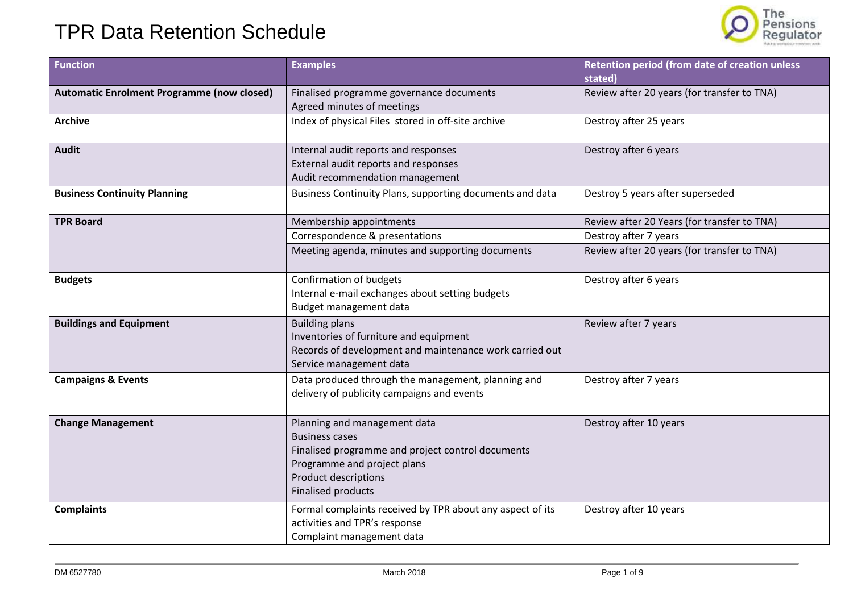

| <b>Function</b>                                   | <b>Examples</b>                                                                                                                                                                                       | Retention period (from date of creation unless<br>stated)                                                           |
|---------------------------------------------------|-------------------------------------------------------------------------------------------------------------------------------------------------------------------------------------------------------|---------------------------------------------------------------------------------------------------------------------|
| <b>Automatic Enrolment Programme (now closed)</b> | Finalised programme governance documents<br>Agreed minutes of meetings                                                                                                                                | Review after 20 years (for transfer to TNA)                                                                         |
| <b>Archive</b>                                    | Index of physical Files stored in off-site archive                                                                                                                                                    | Destroy after 25 years                                                                                              |
| <b>Audit</b>                                      | Internal audit reports and responses<br>External audit reports and responses<br>Audit recommendation management                                                                                       | Destroy after 6 years                                                                                               |
| <b>Business Continuity Planning</b>               | Business Continuity Plans, supporting documents and data                                                                                                                                              | Destroy 5 years after superseded                                                                                    |
| <b>TPR Board</b>                                  | Membership appointments<br>Correspondence & presentations<br>Meeting agenda, minutes and supporting documents                                                                                         | Review after 20 Years (for transfer to TNA)<br>Destroy after 7 years<br>Review after 20 years (for transfer to TNA) |
| <b>Budgets</b>                                    | Confirmation of budgets<br>Internal e-mail exchanges about setting budgets<br>Budget management data                                                                                                  | Destroy after 6 years                                                                                               |
| <b>Buildings and Equipment</b>                    | <b>Building plans</b><br>Inventories of furniture and equipment<br>Records of development and maintenance work carried out<br>Service management data                                                 | Review after 7 years                                                                                                |
| <b>Campaigns &amp; Events</b>                     | Data produced through the management, planning and<br>delivery of publicity campaigns and events                                                                                                      | Destroy after 7 years                                                                                               |
| <b>Change Management</b>                          | Planning and management data<br><b>Business cases</b><br>Finalised programme and project control documents<br>Programme and project plans<br><b>Product descriptions</b><br><b>Finalised products</b> | Destroy after 10 years                                                                                              |
| <b>Complaints</b>                                 | Formal complaints received by TPR about any aspect of its<br>activities and TPR's response<br>Complaint management data                                                                               | Destroy after 10 years                                                                                              |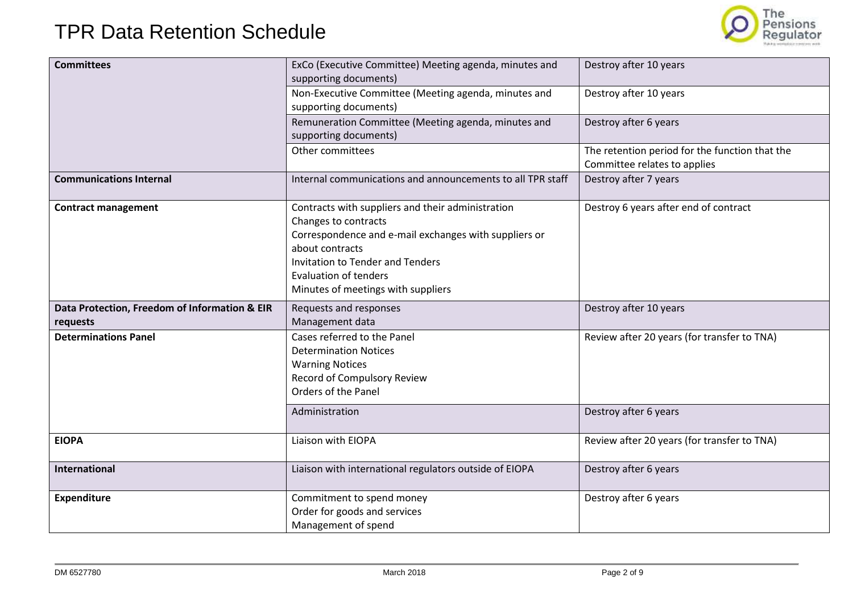

| <b>Committees</b>                             | ExCo (Executive Committee) Meeting agenda, minutes and     | Destroy after 10 years                         |
|-----------------------------------------------|------------------------------------------------------------|------------------------------------------------|
|                                               | supporting documents)                                      |                                                |
|                                               | Non-Executive Committee (Meeting agenda, minutes and       | Destroy after 10 years                         |
|                                               | supporting documents)                                      |                                                |
|                                               | Remuneration Committee (Meeting agenda, minutes and        | Destroy after 6 years                          |
|                                               | supporting documents)                                      |                                                |
|                                               | Other committees                                           | The retention period for the function that the |
|                                               |                                                            | Committee relates to applies                   |
| <b>Communications Internal</b>                | Internal communications and announcements to all TPR staff | Destroy after 7 years                          |
| <b>Contract management</b>                    | Contracts with suppliers and their administration          | Destroy 6 years after end of contract          |
|                                               | Changes to contracts                                       |                                                |
|                                               | Correspondence and e-mail exchanges with suppliers or      |                                                |
|                                               | about contracts                                            |                                                |
|                                               | Invitation to Tender and Tenders                           |                                                |
|                                               | <b>Evaluation of tenders</b>                               |                                                |
|                                               | Minutes of meetings with suppliers                         |                                                |
| Data Protection, Freedom of Information & EIR | Requests and responses                                     | Destroy after 10 years                         |
| requests                                      | Management data                                            |                                                |
| <b>Determinations Panel</b>                   | Cases referred to the Panel                                | Review after 20 years (for transfer to TNA)    |
|                                               | <b>Determination Notices</b>                               |                                                |
|                                               | <b>Warning Notices</b>                                     |                                                |
|                                               | <b>Record of Compulsory Review</b>                         |                                                |
|                                               | Orders of the Panel                                        |                                                |
|                                               | Administration                                             | Destroy after 6 years                          |
| <b>EIOPA</b>                                  | Liaison with EIOPA                                         | Review after 20 years (for transfer to TNA)    |
|                                               |                                                            |                                                |
| <b>International</b>                          | Liaison with international regulators outside of EIOPA     | Destroy after 6 years                          |
| <b>Expenditure</b>                            | Commitment to spend money                                  | Destroy after 6 years                          |
|                                               | Order for goods and services                               |                                                |
|                                               |                                                            |                                                |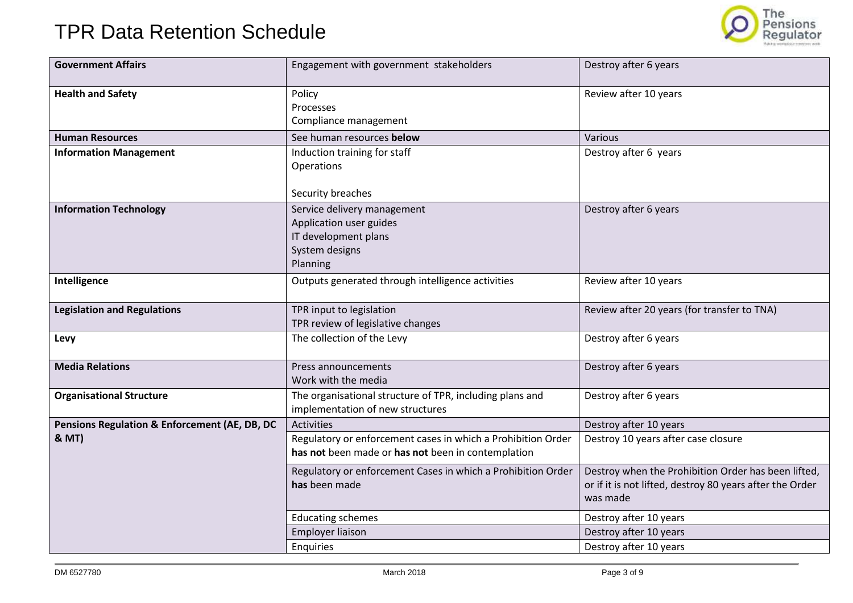

| <b>Government Affairs</b>                                | Engagement with government stakeholders                                                                            | Destroy after 6 years                                                                                                       |
|----------------------------------------------------------|--------------------------------------------------------------------------------------------------------------------|-----------------------------------------------------------------------------------------------------------------------------|
| <b>Health and Safety</b>                                 | Policy<br>Processes<br>Compliance management                                                                       | Review after 10 years                                                                                                       |
| <b>Human Resources</b>                                   | See human resources below                                                                                          | Various                                                                                                                     |
| <b>Information Management</b>                            | Induction training for staff<br>Operations<br>Security breaches                                                    | Destroy after 6 years                                                                                                       |
| <b>Information Technology</b>                            | Service delivery management<br>Application user guides<br>IT development plans<br>System designs<br>Planning       | Destroy after 6 years                                                                                                       |
| Intelligence                                             | Outputs generated through intelligence activities                                                                  | Review after 10 years                                                                                                       |
| <b>Legislation and Regulations</b>                       | TPR input to legislation<br>TPR review of legislative changes                                                      | Review after 20 years (for transfer to TNA)                                                                                 |
| Levy                                                     | The collection of the Levy                                                                                         | Destroy after 6 years                                                                                                       |
| <b>Media Relations</b>                                   | Press announcements<br>Work with the media                                                                         | Destroy after 6 years                                                                                                       |
| <b>Organisational Structure</b>                          | The organisational structure of TPR, including plans and<br>implementation of new structures                       | Destroy after 6 years                                                                                                       |
| <b>Pensions Regulation &amp; Enforcement (AE, DB, DC</b> | Activities                                                                                                         | Destroy after 10 years                                                                                                      |
| <b>&amp; MT)</b>                                         | Regulatory or enforcement cases in which a Prohibition Order<br>has not been made or has not been in contemplation | Destroy 10 years after case closure                                                                                         |
|                                                          | Regulatory or enforcement Cases in which a Prohibition Order<br>has been made                                      | Destroy when the Prohibition Order has been lifted,<br>or if it is not lifted, destroy 80 years after the Order<br>was made |
|                                                          | <b>Educating schemes</b>                                                                                           | Destroy after 10 years                                                                                                      |
|                                                          | Employer liaison                                                                                                   | Destroy after 10 years                                                                                                      |
|                                                          | Enquiries                                                                                                          | Destroy after 10 years                                                                                                      |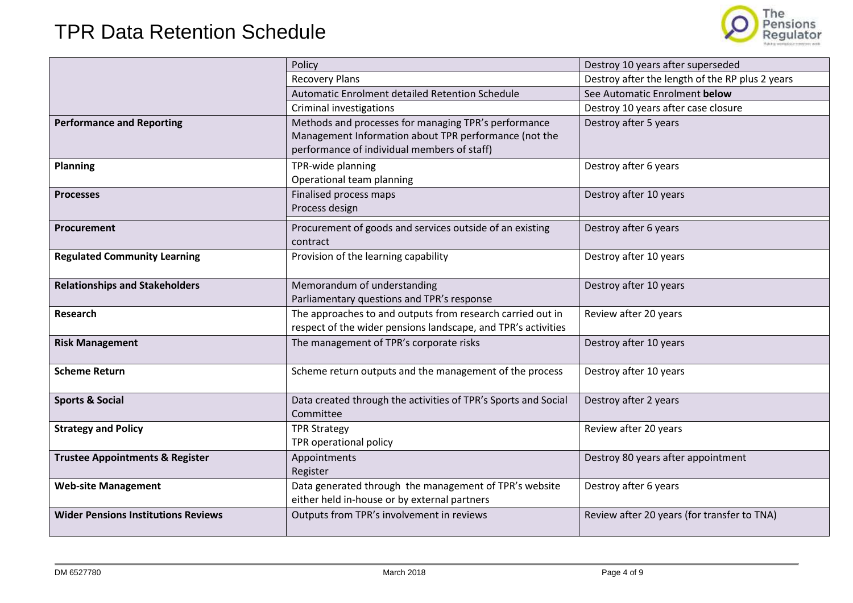

|                                            | Policy                                                                                                                                                       | Destroy 10 years after superseded               |
|--------------------------------------------|--------------------------------------------------------------------------------------------------------------------------------------------------------------|-------------------------------------------------|
|                                            | <b>Recovery Plans</b>                                                                                                                                        | Destroy after the length of the RP plus 2 years |
|                                            | Automatic Enrolment detailed Retention Schedule                                                                                                              | See Automatic Enrolment below                   |
|                                            | <b>Criminal investigations</b>                                                                                                                               | Destroy 10 years after case closure             |
| <b>Performance and Reporting</b>           | Methods and processes for managing TPR's performance<br>Management Information about TPR performance (not the<br>performance of individual members of staff) | Destroy after 5 years                           |
| <b>Planning</b>                            | TPR-wide planning<br>Operational team planning                                                                                                               | Destroy after 6 years                           |
| <b>Processes</b>                           | Finalised process maps<br>Process design                                                                                                                     | Destroy after 10 years                          |
| Procurement                                | Procurement of goods and services outside of an existing<br>contract                                                                                         | Destroy after 6 years                           |
| <b>Regulated Community Learning</b>        | Provision of the learning capability                                                                                                                         | Destroy after 10 years                          |
| <b>Relationships and Stakeholders</b>      | Memorandum of understanding<br>Parliamentary questions and TPR's response                                                                                    | Destroy after 10 years                          |
| Research                                   | The approaches to and outputs from research carried out in<br>respect of the wider pensions landscape, and TPR's activities                                  | Review after 20 years                           |
| <b>Risk Management</b>                     | The management of TPR's corporate risks                                                                                                                      | Destroy after 10 years                          |
| <b>Scheme Return</b>                       | Scheme return outputs and the management of the process                                                                                                      | Destroy after 10 years                          |
| <b>Sports &amp; Social</b>                 | Data created through the activities of TPR's Sports and Social<br>Committee                                                                                  | Destroy after 2 years                           |
| <b>Strategy and Policy</b>                 | <b>TPR Strategy</b><br>TPR operational policy                                                                                                                | Review after 20 years                           |
| <b>Trustee Appointments &amp; Register</b> | Appointments<br>Register                                                                                                                                     | Destroy 80 years after appointment              |
| <b>Web-site Management</b>                 | Data generated through the management of TPR's website<br>either held in-house or by external partners                                                       | Destroy after 6 years                           |
| <b>Wider Pensions Institutions Reviews</b> | Outputs from TPR's involvement in reviews                                                                                                                    | Review after 20 years (for transfer to TNA)     |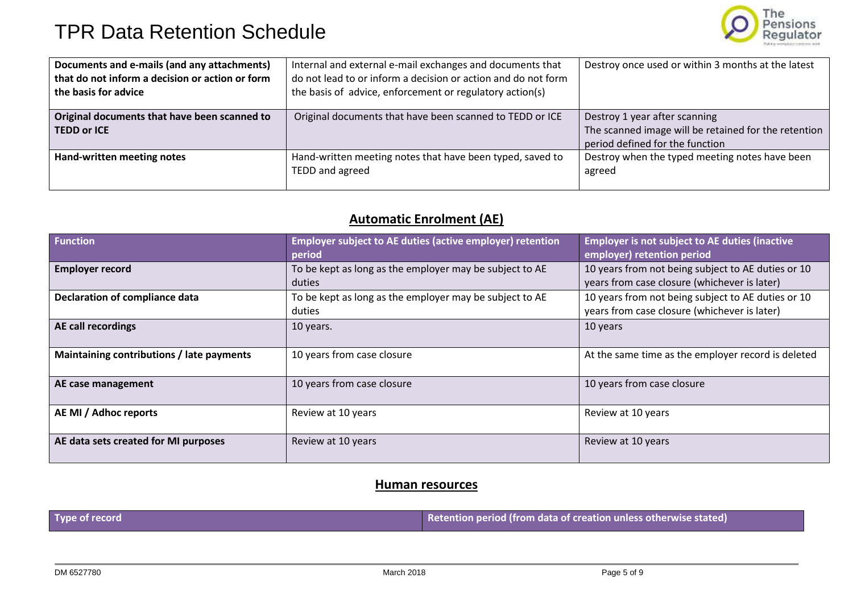

| Documents and e-mails (and any attachments)<br>that do not inform a decision or action or form<br>the basis for advice | Internal and external e-mail exchanges and documents that<br>do not lead to or inform a decision or action and do not form<br>the basis of advice, enforcement or regulatory action(s) | Destroy once used or within 3 months at the latest                                                                       |
|------------------------------------------------------------------------------------------------------------------------|----------------------------------------------------------------------------------------------------------------------------------------------------------------------------------------|--------------------------------------------------------------------------------------------------------------------------|
| Original documents that have been scanned to<br><b>TEDD or ICE</b>                                                     | Original documents that have been scanned to TEDD or ICE                                                                                                                               | Destroy 1 year after scanning<br>The scanned image will be retained for the retention<br>period defined for the function |
| Hand-written meeting notes                                                                                             | Hand-written meeting notes that have been typed, saved to<br>TEDD and agreed                                                                                                           | Destroy when the typed meeting notes have been<br>agreed                                                                 |

### **Automatic Enrolment (AE)**

| <b>Function</b>                           | <b>Employer subject to AE duties (active employer) retention</b><br>period | <b>Employer is not subject to AE duties (inactive</b><br>employer) retention period                |
|-------------------------------------------|----------------------------------------------------------------------------|----------------------------------------------------------------------------------------------------|
| <b>Employer record</b>                    | To be kept as long as the employer may be subject to AE<br>duties          | 10 years from not being subject to AE duties or 10<br>years from case closure (whichever is later) |
| <b>Declaration of compliance data</b>     | To be kept as long as the employer may be subject to AE<br>duties          | 10 years from not being subject to AE duties or 10<br>years from case closure (whichever is later) |
| AE call recordings                        | 10 years.                                                                  | 10 years                                                                                           |
| Maintaining contributions / late payments | 10 years from case closure                                                 | At the same time as the employer record is deleted                                                 |
| AE case management                        | 10 years from case closure                                                 | 10 years from case closure                                                                         |
| AE MI / Adhoc reports                     | Review at 10 years                                                         | Review at 10 years                                                                                 |
| AE data sets created for MI purposes      | Review at 10 years                                                         | Review at 10 years                                                                                 |

#### **Human resources**

**Type of record Retention period (from data of creation unless otherwise stated)**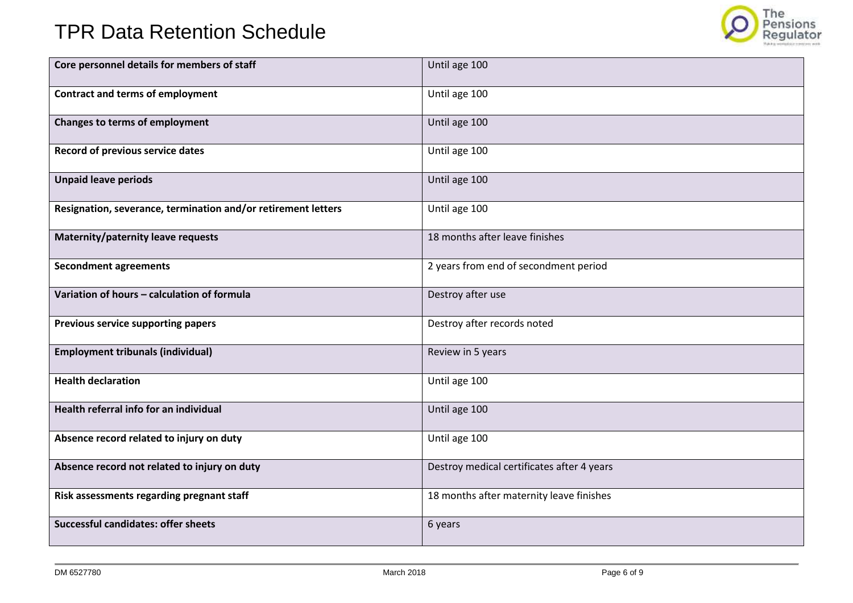

| Core personnel details for members of staff                   | Until age 100                              |
|---------------------------------------------------------------|--------------------------------------------|
| <b>Contract and terms of employment</b>                       | Until age 100                              |
| <b>Changes to terms of employment</b>                         | Until age 100                              |
| Record of previous service dates                              | Until age 100                              |
| <b>Unpaid leave periods</b>                                   | Until age 100                              |
| Resignation, severance, termination and/or retirement letters | Until age 100                              |
| Maternity/paternity leave requests                            | 18 months after leave finishes             |
| <b>Secondment agreements</b>                                  | 2 years from end of secondment period      |
| Variation of hours - calculation of formula                   | Destroy after use                          |
| Previous service supporting papers                            | Destroy after records noted                |
| <b>Employment tribunals (individual)</b>                      | Review in 5 years                          |
| <b>Health declaration</b>                                     | Until age 100                              |
| Health referral info for an individual                        | Until age 100                              |
| Absence record related to injury on duty                      | Until age 100                              |
| Absence record not related to injury on duty                  | Destroy medical certificates after 4 years |
| Risk assessments regarding pregnant staff                     | 18 months after maternity leave finishes   |
| <b>Successful candidates: offer sheets</b>                    | 6 years                                    |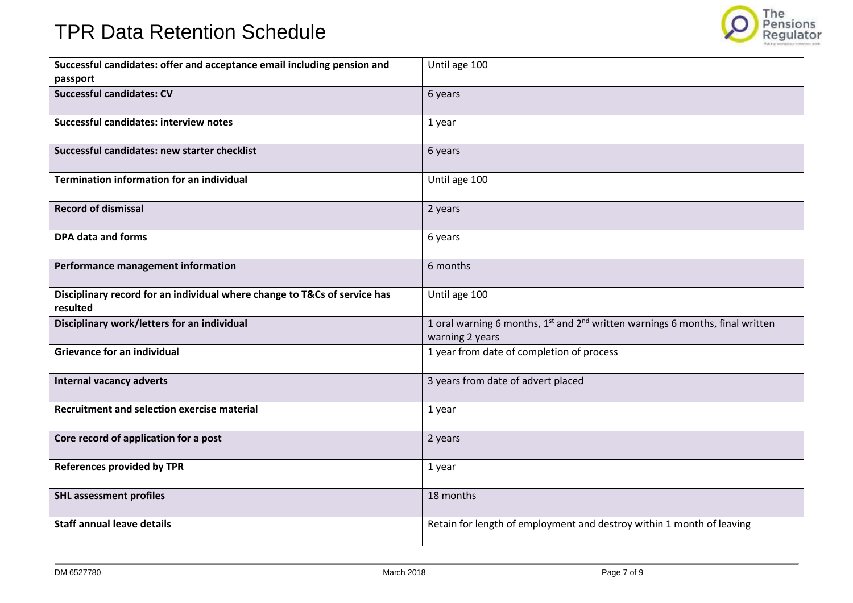

| Successful candidates: offer and acceptance email including pension and<br>passport   | Until age 100                                                                                                            |
|---------------------------------------------------------------------------------------|--------------------------------------------------------------------------------------------------------------------------|
| <b>Successful candidates: CV</b>                                                      | 6 years                                                                                                                  |
| Successful candidates: interview notes                                                | 1 year                                                                                                                   |
| Successful candidates: new starter checklist                                          | 6 years                                                                                                                  |
| <b>Termination information for an individual</b>                                      | Until age 100                                                                                                            |
| <b>Record of dismissal</b>                                                            | 2 years                                                                                                                  |
| <b>DPA data and forms</b>                                                             | 6 years                                                                                                                  |
| Performance management information                                                    | 6 months                                                                                                                 |
| Disciplinary record for an individual where change to T&Cs of service has<br>resulted | Until age 100                                                                                                            |
| Disciplinary work/letters for an individual                                           | 1 oral warning 6 months, 1 <sup>st</sup> and 2 <sup>nd</sup> written warnings 6 months, final written<br>warning 2 years |
| <b>Grievance for an individual</b>                                                    | 1 year from date of completion of process                                                                                |
| <b>Internal vacancy adverts</b>                                                       | 3 years from date of advert placed                                                                                       |
| <b>Recruitment and selection exercise material</b>                                    | 1 year                                                                                                                   |
| Core record of application for a post                                                 | 2 years                                                                                                                  |
| <b>References provided by TPR</b>                                                     | 1 year                                                                                                                   |
| <b>SHL assessment profiles</b>                                                        | 18 months                                                                                                                |
| <b>Staff annual leave details</b>                                                     | Retain for length of employment and destroy within 1 month of leaving                                                    |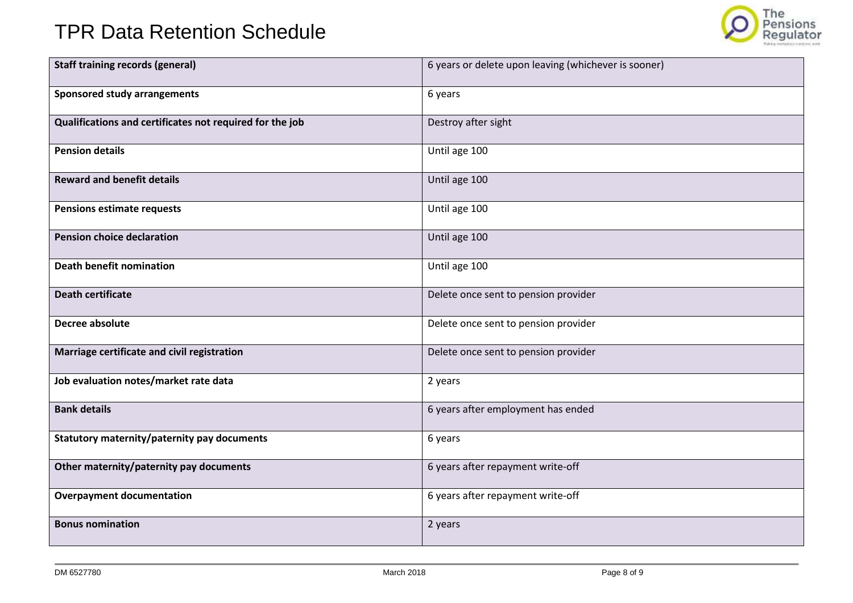

| <b>Staff training records (general)</b>                  | 6 years or delete upon leaving (whichever is sooner) |
|----------------------------------------------------------|------------------------------------------------------|
| <b>Sponsored study arrangements</b>                      | 6 years                                              |
| Qualifications and certificates not required for the job | Destroy after sight                                  |
| <b>Pension details</b>                                   | Until age 100                                        |
| <b>Reward and benefit details</b>                        | Until age 100                                        |
| <b>Pensions estimate requests</b>                        | Until age 100                                        |
| <b>Pension choice declaration</b>                        | Until age 100                                        |
| <b>Death benefit nomination</b>                          | Until age 100                                        |
| <b>Death certificate</b>                                 | Delete once sent to pension provider                 |
| Decree absolute                                          | Delete once sent to pension provider                 |
| Marriage certificate and civil registration              | Delete once sent to pension provider                 |
| Job evaluation notes/market rate data                    | 2 years                                              |
| <b>Bank details</b>                                      | 6 years after employment has ended                   |
| Statutory maternity/paternity pay documents              | 6 years                                              |
| Other maternity/paternity pay documents                  | 6 years after repayment write-off                    |
| <b>Overpayment documentation</b>                         | 6 years after repayment write-off                    |
| <b>Bonus nomination</b>                                  | 2 years                                              |